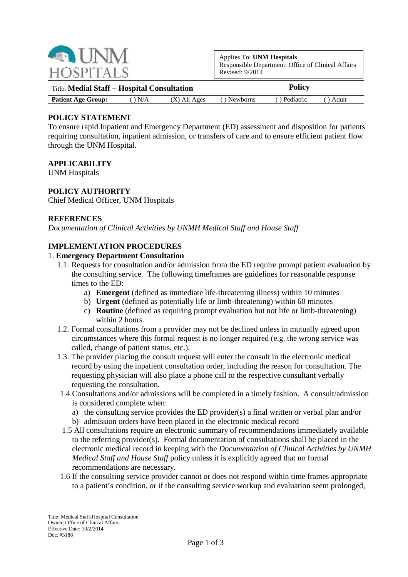| <b>Example 11 IN</b><br><b>HOSPITALS</b>             | Applies To: UNM Hospitals<br>Responsible Department: Office of Clinical Affairs<br>Revised: $9/2014$ |  |  |
|------------------------------------------------------|------------------------------------------------------------------------------------------------------|--|--|
| Title: Medial Staff - Hospital Consultation          | <b>Policy</b>                                                                                        |  |  |
| <b>Patient Age Group:</b><br>$(X)$ All Ages<br>) N/A | ) Pediatric<br>() Newborns<br>Adult                                                                  |  |  |

# **POLICY STATEMENT**

To ensure rapid Inpatient and Emergency Department (ED) assessment and disposition for patients requiring consultation, inpatient admission, or transfers of care and to ensure efficient patient flow through the UNM Hospital.

## **APPLICABILITY**

UNM Hospitals

### **POLICY AUTHORITY**

Chief Medical Officer, UNM Hospitals

### **REFERENCES**

*Documentation of Clinical Activities by UNMH Medical Staff and House Staff*

## **IMPLEMENTATION PROCEDURES**

#### 1. **Emergency Department Consultation**

- 1.1. Requests for consultation and/or admission from the ED require prompt patient evaluation by the consulting service. The following timeframes are guidelines for reasonable response times to the ED:
	- a) **Emergent** (defined as immediate life-threatening illness) within 10 minutes
	- b) **Urgent** (defined as potentially life or limb-threatening) within 60 minutes
	- c) **Routine** (defined as requiring prompt evaluation but not life or limb-threatening) within 2 hours.
- 1.2. Formal consultations from a provider may not be declined unless in mutually agreed upon circumstances where this formal request is no longer required (e.g. the wrong service was called, change of patient status, etc.).
- 1.3. The provider placing the consult request will enter the consult in the electronic medical record by using the inpatient consultation order, including the reason for consultation. The requesting physician will also place a phone call to the respective consultant verbally requesting the consultation.
- 1.4 Consultations and/or admissions will be completed in a timely fashion. A consult/admission is considered complete when:
	- a) the consulting service provides the ED provider(s) a final written or verbal plan and/or
	- b) admission orders have been placed in the electronic medical record
- 1.5 All consultations require an electronic summary of recommendations immediately available to the referring provider(s). Formal documentation of consultations shall be placed in the electronic medical record in keeping with the *Documentation of Clinical Activities by UNMH Medical Staff and House Staff* policy unless it is explicitly agreed that no formal recommendations are necessary.
- 1.6 If the consulting service provider cannot or does not respond within time frames appropriate to a patient's condition, or if the consulting service workup and evaluation seem prolonged,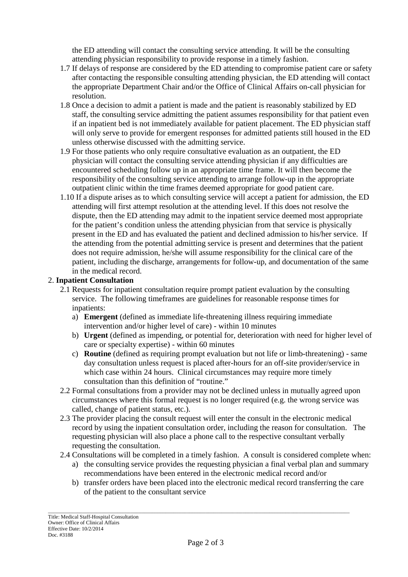the ED attending will contact the consulting service attending. It will be the consulting attending physician responsibility to provide response in a timely fashion.

- 1.7 If delays of response are considered by the ED attending to compromise patient care or safety after contacting the responsible consulting attending physician, the ED attending will contact the appropriate Department Chair and/or the Office of Clinical Affairs on-call physician for resolution.
- 1.8 Once a decision to admit a patient is made and the patient is reasonably stabilized by ED staff, the consulting service admitting the patient assumes responsibility for that patient even if an inpatient bed is not immediately available for patient placement. The ED physician staff will only serve to provide for emergent responses for admitted patients still housed in the ED unless otherwise discussed with the admitting service.
- 1.9 For those patients who only require consultative evaluation as an outpatient, the ED physician will contact the consulting service attending physician if any difficulties are encountered scheduling follow up in an appropriate time frame. It will then become the responsibility of the consulting service attending to arrange follow-up in the appropriate outpatient clinic within the time frames deemed appropriate for good patient care.
- 1.10 If a dispute arises as to which consulting service will accept a patient for admission, the ED attending will first attempt resolution at the attending level. If this does not resolve the dispute, then the ED attending may admit to the inpatient service deemed most appropriate for the patient's condition unless the attending physician from that service is physically present in the ED and has evaluated the patient and declined admission to his/her service. If the attending from the potential admitting service is present and determines that the patient does not require admission, he/she will assume responsibility for the clinical care of the patient, including the discharge, arrangements for follow-up, and documentation of the same in the medical record.

## 2. **Inpatient Consultation**

- 2.1 Requests for inpatient consultation require prompt patient evaluation by the consulting service. The following timeframes are guidelines for reasonable response times for inpatients:
	- a) **Emergent** (defined as immediate life-threatening illness requiring immediate intervention and/or higher level of care) - within 10 minutes
	- b) **Urgent** (defined as impending, or potential for, deterioration with need for higher level of care or specialty expertise) - within 60 minutes
	- c) **Routine** (defined as requiring prompt evaluation but not life or limb-threatening) same day consultation unless request is placed after-hours for an off-site provider/service in which case within 24 hours. Clinical circumstances may require more timely consultation than this definition of "routine."
- 2.2 Formal consultations from a provider may not be declined unless in mutually agreed upon circumstances where this formal request is no longer required (e.g. the wrong service was called, change of patient status, etc.).
- 2.3 The provider placing the consult request will enter the consult in the electronic medical record by using the inpatient consultation order, including the reason for consultation. The requesting physician will also place a phone call to the respective consultant verbally requesting the consultation.
- 2.4 Consultations will be completed in a timely fashion. A consult is considered complete when:
	- a) the consulting service provides the requesting physician a final verbal plan and summary recommendations have been entered in the electronic medical record and/or
	- b) transfer orders have been placed into the electronic medical record transferring the care of the patient to the consultant service